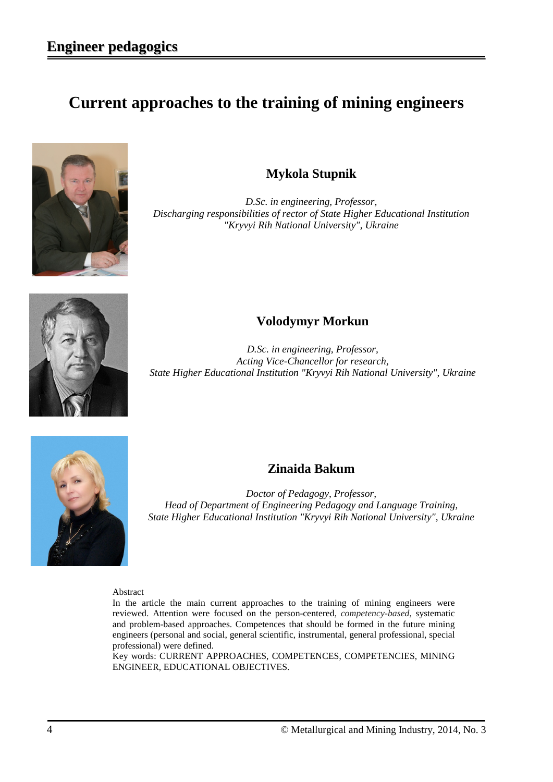# **Current approaches to the training of mining engineers**



#### **Mykola Stupnik**

*D.Sc. in engineering, Professor, Discharging responsibilities of rector of State Higher Educational Institution "Kryvyi Rih National University", Ukraine*



## **Volodymyr Morkun**

*D.Sc. in engineering, Professor, Acting Vice-Chancellor for research, State Higher Educational Institution "Kryvyi Rih National University", Ukraine*



### **Zinaida Bakum**

*Doctor of Pedagogy, Professor, Head of Department of Engineering Pedagogy and Language Training, State Higher Educational Institution "Kryvyi Rih National University", Ukraine*

Abstract

In the article the main current approaches to the training of mining engineers were reviewed. Attention were focused on the person-centered, *competency-based*, systematic and problem-based approaches. Competences that should be formed in the future mining engineers (personal and social, general scientific, instrumental, general professional, special professional) were defined.

Key words: CURRENT APPROACHES, COMPETENCES, COMPETENCIES, MINING ENGINEER, EDUCATIONAL OBJECTIVES.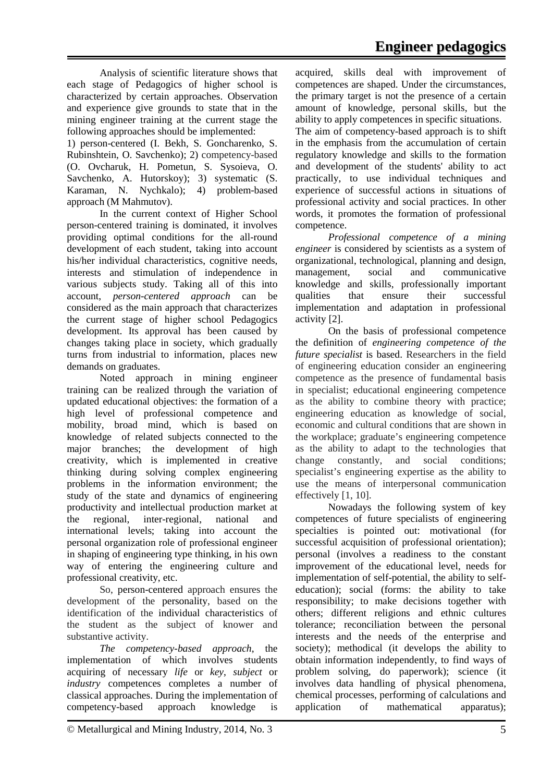Analysis of scientific literature shows that each stage of Pedagogics of higher school is characterized by certain approaches. Observation and experience give grounds to state that in the mining engineer training at the current stage the following approaches should be implemented:

1) person-centered (I. Bekh, S. Goncharenko, S. Rubinshtein, O. Savchenko); 2) competency-based (O. Ovcharuk, H. Pometun, S. Sysoieva, O. Savchenko, A. Hutorskoy); 3) systematic (S. Karaman, N. Nychkalo); 4) problem-based approach (M Mahmutov).

In the current context of Higher School person-centered training is dominated, it involves providing optimal conditions for the all-round development of each student, taking into account his/her individual characteristics, cognitive needs, interests and stimulation of independence in various subjects study. Taking all of this into account, *person-centered approach* can be considered as the main approach that characterizes the current stage of higher school Pedagogics development. Its approval has been caused by changes taking place in society, which gradually turns from industrial to information, places new demands on graduates.

Noted approach in mining engineer training can be realized through the variation of updated educational objectives: the formation of a high level of professional competence and mobility, broad mind, which is based on knowledge of related subjects connected to the major branches; the development of high creativity, which is implemented in creative thinking during solving complex engineering problems in the information environment; the study of the state and dynamics of engineering productivity and intellectual production market at the regional, inter-regional, national and international levels; taking into account the personal organization role of professional engineer in shaping of engineering type thinking, in his own way of entering the engineering culture and professional creativity, etc.

So, person-centered approach ensures the development of the personality, based on the identification of the individual characteristics of the student as the subject of knower and substantive activity.

*The competency-based approach*, the implementation of which involves students acquiring of necessary *life* or *key*, *subject* or *industry* competences completes a number of classical approaches. During the implementation of competency-based approach knowledge is acquired, skills deal with improvement of competences are shaped. Under the circumstances, the primary target is not the presence of a certain amount of knowledge, personal skills, but the ability to apply competences in specific situations. The aim of competency-based approach is to shift in the emphasis from the accumulation of certain regulatory knowledge and skills to the formation and development of the students' ability to act practically, to use individual techniques and experience of successful actions in situations of professional activity and social practices. In other words, it promotes the formation of professional competence.

*Professional competence of a mining engineer* is considered by scientists as a system of organizational, technological, planning and design, management, social and communicative knowledge and skills, professionally important qualities that ensure their successful implementation and adaptation in professional activity [2].

On the basis of professional competence the definition of *engineering competence of the future specialist* is based. Researchers in the field of engineering education consider an engineering competence as the presence of fundamental basis in specialist; educational engineering competence as the ability to combine theory with practice; engineering education as knowledge of social, economic and cultural conditions that are shown in the workplace; graduate's engineering competence as the ability to adapt to the technologies that change constantly, and social conditions; specialist's engineering expertise as the ability to use the means of interpersonal communication effectively [1, 10].

Nowadays the following system of key competences of future specialists of engineering specialties is pointed out: motivational (for successful acquisition of professional orientation); personal (involves a readiness to the constant improvement of the educational level, needs for implementation of self-potential, the ability to selfeducation); social (forms: the ability to take responsibility; to make decisions together with others; different religions and ethnic cultures tolerance; reconciliation between the personal interests and the needs of the enterprise and society); methodical (it develops the ability to obtain information independently, to find ways of problem solving, do paperwork); science (it involves data handling of physical phenomena, chemical processes, performing of calculations and application of mathematical apparatus);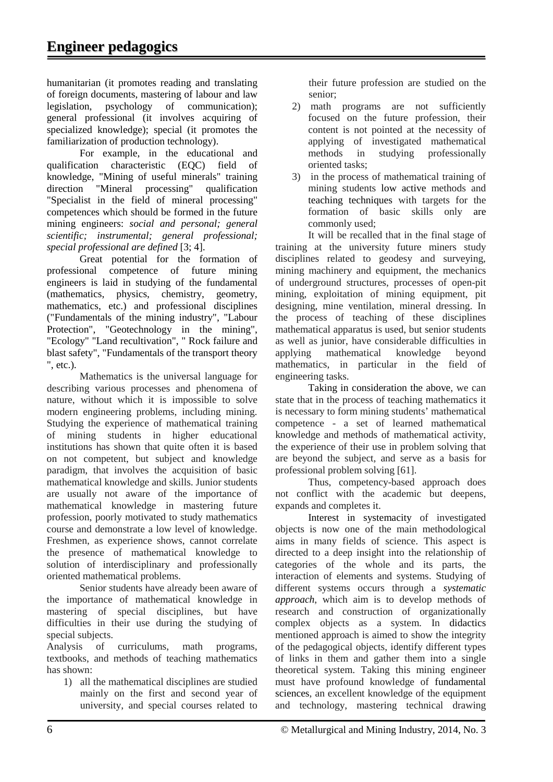humanitarian (it promotes reading and translating of foreign documents, mastering of labour and law<br>legislation, psychology of communication); legislation, psychology of communication); general professional (it involves acquiring of specialized knowledge); special (it promotes the familiarization of production technology).

For example, in the educational and qualification characteristic (EQC) field of knowledge, "Mining of useful minerals" training direction "Mineral processing" qualification "Specialist in the field of mineral processing" competences which should be formed in the future mining engineers: *social and personal; general scientific; instrumental; general professional; special professional are defined* [3; 4].

Great potential for the formation of professional competence of future mining engineers is laid in studying of the fundamental (mathematics, physics, chemistry, geometry, mathematics, etc.) and professional disciplines ("Fundamentals of the mining industry", "Labour Protection", "Geotechnology in the mining", "Ecology" "Land recultivation", " Rock failure and blast safety", "Fundamentals of the transport theory ", etc.).

Mathematics is the universal language for describing various processes and phenomena of nature, without which it is impossible to solve modern engineering problems, including mining. Studying the experience of mathematical training of mining students in higher educational institutions has shown that quite often it is based on not competent, but subject and knowledge paradigm, that involves the acquisition of basic mathematical knowledge and skills. Junior students are usually not aware of the importance of mathematical knowledge in mastering future profession, poorly motivated to study mathematics course and demonstrate a low level of knowledge. Freshmen, as experience shows, cannot correlate the presence of mathematical knowledge to solution of interdisciplinary and professionally oriented mathematical problems.

Senior students have already been aware of the importance of mathematical knowledge in mastering of special disciplines, but have difficulties in their use during the studying of special subjects.

Analysis of curriculums, math programs, textbooks, and methods of teaching mathematics has shown:

1) all the mathematical disciplines are studied mainly on the first and second year of university, and special courses related to their future profession are studied on the senior;

- 2) math programs are not sufficiently focused on the future profession, their content is not pointed at the necessity of applying of investigated mathematical<br>methods in studying professionally methods in studying professionally oriented tasks;
- 3) in the process of mathematical training of mining students low active methods and teaching techniques with targets for the formation of basic skills only are commonly used;

It will be recalled that in the final stage of training at the university future miners study disciplines related to geodesy and surveying, mining machinery and equipment, the mechanics of underground structures, processes of open-pit mining, exploitation of mining equipment, pit designing, mine ventilation, mineral dressing. In the process of teaching of these disciplines mathematical apparatus is used, but senior students as well as junior, have considerable difficulties in<br>applying mathematical knowledge beyond applying mathematical knowledge beyond mathematics, in particular in the field of engineering tasks.

Taking in consideration the above, we can state that in the process of teaching mathematics it is necessary to form mining students' mathematical competence - a set of learned mathematical knowledge and methods of mathematical activity, the experience of their use in problem solving that are beyond the subject, and serve as a basis for professional problem solving [61].

Thus, competency-based approach does not conflict with the academic but deepens, expands and completes it.

Interest in systemacity of investigated objects is now one of the main methodological aims in many fields of science. This aspect is directed to a deep insight into the relationship of categories of the whole and its parts, the interaction of elements and systems. Studying of different systems occurs through a *systematic approach*, which aim is to develop methods of research and construction of organizationally complex objects as a system. In didactics mentioned approach is aimed to show the integrity of the pedagogical objects, identify different types of links in them and gather them into a single theoretical system. Taking this mining engineer must have profound knowledge of fundamental sciences, an excellent knowledge of the equipment and technology, mastering technical drawing